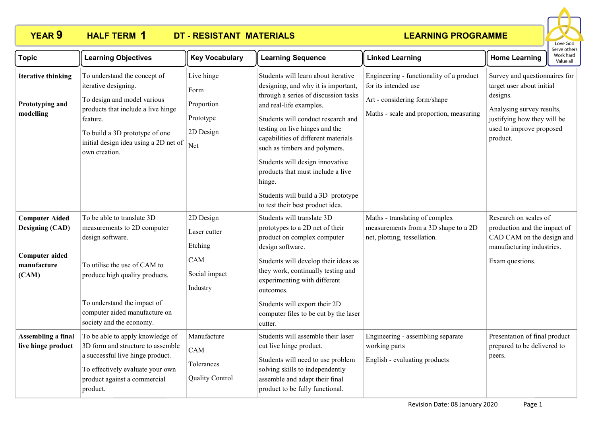### **YEAR 9 HALF TERM DT - RESISTANT MATERIALS HALF TERM 1**

# **LEARNING PROGRAMME**



| <b>Topic</b>                                                                                     | <b>Learning Objectives</b>                                                                                                                                                                                                                  | <b>Key Vocabulary</b>                                                    | <b>Learning Sequence</b>                                                                                                                                                                                                                                                                                                                                                                                                                                  | <b>Linked Learning</b>                                                                                                                      | יכו עכ טנווכו<br>Work hard<br><b>Home Learning</b><br>Value all                                                                                                            |
|--------------------------------------------------------------------------------------------------|---------------------------------------------------------------------------------------------------------------------------------------------------------------------------------------------------------------------------------------------|--------------------------------------------------------------------------|-----------------------------------------------------------------------------------------------------------------------------------------------------------------------------------------------------------------------------------------------------------------------------------------------------------------------------------------------------------------------------------------------------------------------------------------------------------|---------------------------------------------------------------------------------------------------------------------------------------------|----------------------------------------------------------------------------------------------------------------------------------------------------------------------------|
| <b>Iterative thinking</b><br>Prototyping and<br>modelling                                        | To understand the concept of<br>iterative designing.<br>To design and model various<br>products that include a live hinge<br>feature.<br>To build a 3D prototype of one<br>initial design idea using a 2D net of<br>own creation.           | Live hinge<br>Form<br>Proportion<br>Prototype<br>2D Design<br>Net        | Students will learn about iterative<br>designing, and why it is important,<br>through a series of discussion tasks<br>and real-life examples.<br>Students will conduct research and<br>testing on live hinges and the<br>capabilities of different materials<br>such as timbers and polymers.<br>Students will design innovative<br>products that must include a live<br>hinge.<br>Students will build a 3D prototype<br>to test their best product idea. | Engineering - functionality of a product<br>for its intended use<br>Art - considering form/shape<br>Maths - scale and proportion, measuring | Survey and questionnaires for<br>target user about initial<br>designs.<br>Analysing survey results,<br>justifying how they will be<br>used to improve proposed<br>product. |
| <b>Computer Aided</b><br><b>Designing (CAD)</b><br><b>Computer aided</b><br>manufacture<br>(CAM) | To be able to translate 3D<br>measurements to 2D computer<br>design software.<br>To utilise the use of CAM to<br>produce high quality products.<br>To understand the impact of<br>computer aided manufacture on<br>society and the economy. | 2D Design<br>Laser cutter<br>Etching<br>CAM<br>Social impact<br>Industry | Students will translate 3D<br>prototypes to a 2D net of their<br>product on complex computer<br>design software.<br>Students will develop their ideas as<br>they work, continually testing and<br>experimenting with different<br>outcomes.<br>Students will export their 2D<br>computer files to be cut by the laser<br>cutter.                                                                                                                          | Maths - translating of complex<br>measurements from a 3D shape to a 2D<br>net, plotting, tessellation.                                      | Research on scales of<br>production and the impact of<br>CAD CAM on the design and<br>manufacturing industries.<br>Exam questions.                                         |
| <b>Assembling a final</b><br>live hinge product                                                  | To be able to apply knowledge of<br>3D form and structure to assemble<br>a successful live hinge product.<br>To effectively evaluate your own<br>product against a commercial<br>product.                                                   | Manufacture<br>CAM<br>Tolerances<br><b>Quality Control</b>               | Students will assemble their laser<br>cut live hinge product.<br>Students will need to use problem<br>solving skills to independently<br>assemble and adapt their final<br>product to be fully functional.                                                                                                                                                                                                                                                | Engineering - assembling separate<br>working parts<br>English - evaluating products                                                         | Presentation of final product<br>prepared to be delivered to<br>peers.                                                                                                     |